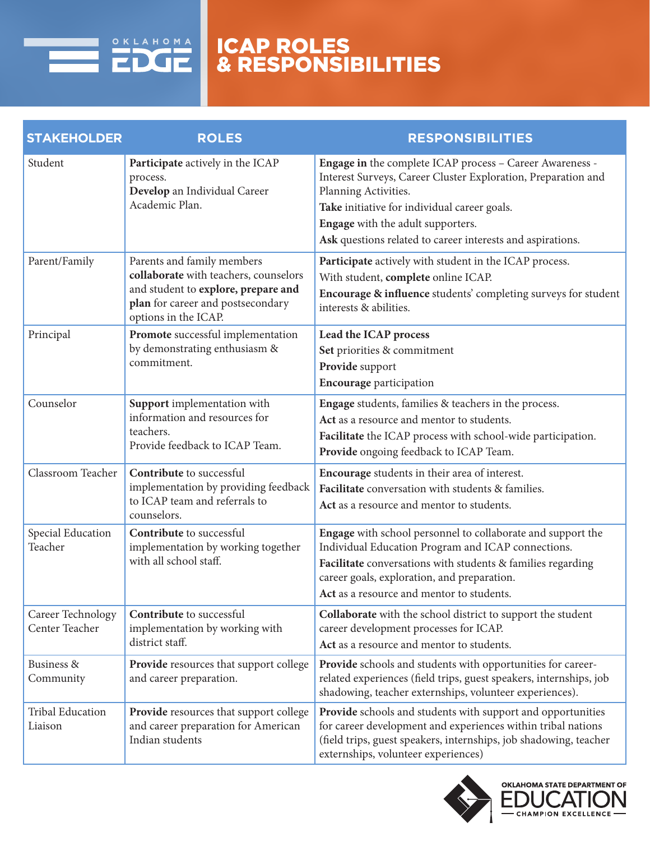

## ICAP ROLES & RESPONSIBILITIES

| <b>STAKEHOLDER</b>                  | <b>ROLES</b>                                                                                                                                                            | <b>RESPONSIBILITIES</b>                                                                                                                                                                                                                                                                              |  |  |
|-------------------------------------|-------------------------------------------------------------------------------------------------------------------------------------------------------------------------|------------------------------------------------------------------------------------------------------------------------------------------------------------------------------------------------------------------------------------------------------------------------------------------------------|--|--|
| Student                             | Participate actively in the ICAP<br>process.<br>Develop an Individual Career<br>Academic Plan.                                                                          | Engage in the complete ICAP process - Career Awareness -<br>Interest Surveys, Career Cluster Exploration, Preparation and<br>Planning Activities.<br>Take initiative for individual career goals.<br>Engage with the adult supporters.<br>Ask questions related to career interests and aspirations. |  |  |
| Parent/Family                       | Parents and family members<br>collaborate with teachers, counselors<br>and student to explore, prepare and<br>plan for career and postsecondary<br>options in the ICAP. | Participate actively with student in the ICAP process.<br>With student, complete online ICAP.<br>Encourage & influence students' completing surveys for student<br>interests & abilities.                                                                                                            |  |  |
| Principal                           | Promote successful implementation<br>by demonstrating enthusiasm &<br>commitment.                                                                                       | Lead the ICAP process<br>Set priorities & commitment<br>Provide support<br><b>Encourage participation</b>                                                                                                                                                                                            |  |  |
| Counselor                           | Support implementation with<br>information and resources for<br>teachers.<br>Provide feedback to ICAP Team.                                                             | Engage students, families & teachers in the process.<br>Act as a resource and mentor to students.<br>Facilitate the ICAP process with school-wide participation.<br>Provide ongoing feedback to ICAP Team.                                                                                           |  |  |
| Classroom Teacher                   | Contribute to successful<br>implementation by providing feedback<br>to ICAP team and referrals to<br>counselors.                                                        | Encourage students in their area of interest.<br>Facilitate conversation with students & families.<br>Act as a resource and mentor to students.                                                                                                                                                      |  |  |
| Special Education<br>Teacher        | Contribute to successful<br>implementation by working together<br>with all school staff.                                                                                | Engage with school personnel to collaborate and support the<br>Individual Education Program and ICAP connections.<br>Facilitate conversations with students & families regarding<br>career goals, exploration, and preparation.<br>Act as a resource and mentor to students.                         |  |  |
| Career Technology<br>Center Teacher | Contribute to successful<br>implementation by working with<br>district staff.                                                                                           | Collaborate with the school district to support the student<br>career development processes for ICAP.<br>Act as a resource and mentor to students.                                                                                                                                                   |  |  |
| Business &<br>Community             | Provide resources that support college<br>and career preparation.                                                                                                       | Provide schools and students with opportunities for career-<br>related experiences (field trips, guest speakers, internships, job<br>shadowing, teacher externships, volunteer experiences).                                                                                                         |  |  |
| <b>Tribal Education</b><br>Liaison  | Provide resources that support college<br>and career preparation for American<br>Indian students                                                                        | <b>Provide</b> schools and students with support and opportunities<br>for career development and experiences within tribal nations<br>(field trips, guest speakers, internships, job shadowing, teacher<br>externships, volunteer experiences)                                                       |  |  |